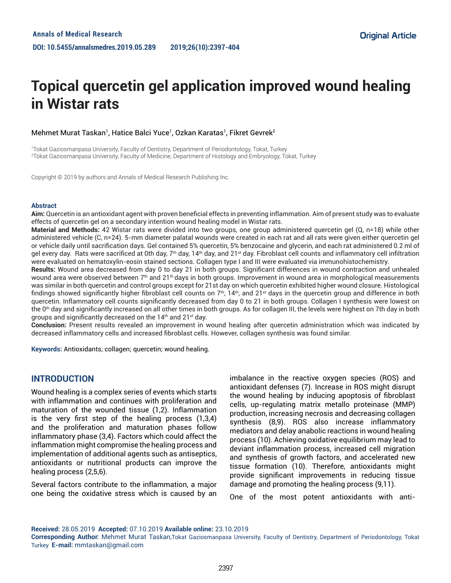# **Topical quercetin gel application improved wound healing in Wistar rats**

## Mehmet Murat Taskan', Hatice Balci Yuce', Ozkan Karatas', Fikret Gevrek<sup>2</sup>

1 Tokat Gaziosmanpasa University, Faculty of Dentistry, Department of Periodontology, Tokat, Turkey 2 Tokat Gaziosmanpasa University, Faculty of Medicine, Department of Histology and Embryology, Tokat, Turkey

Copyright © 2019 by authors and Annals of Medical Research Publishing Inc.

#### **Abstract**

**Aim:** Quercetin is an antioxidant agent with proven beneficial effects in preventing inflammation. Aim of present study was to evaluate effects of quercetin gel on a secondary intention wound healing model in Wistar rats.

**Material and Methods:** 42 Wistar rats were divided into two groups, one group administered quercetin gel (Q, n=18) while other administered vehicle (C, n=24). 5-mm diameter palatal wounds were created in each rat and all rats were given either quercetin gel or vehicle daily until sacrification days. Gel contained 5% quercetin, 5% benzocaine and glycerin, and each rat administered 0.2 ml of gel every day. Rats were sacrificed at 0th day,  $7<sup>th</sup>$  day,  $14<sup>th</sup>$  day, and 21<sup>st</sup> day. Fibroblast cell counts and inflammatory cell infiltration were evaluated on hematoxylin-eosin stained sections. Collagen type I and III were evaluated via immunohistochemistry.

**Results:** Wound area decreased from day 0 to day 21 in both groups. Significant differences in wound contraction and unhealed wound area were observed between  $7<sup>th</sup>$  and  $21<sup>th</sup>$  days in both groups. Improvement in wound area in morphological measurements was similar in both quercetin and control groups except for 21st day on which quercetin exhibited higher wound closure. Histological findings showed significantly higher fibroblast cell counts on  $7<sup>th</sup>$ , 14<sup>th</sup>, and 21<sup>st</sup> days in the quercetin group and difference in both quercetin. Inflammatory cell counts significantly decreased from day 0 to 21 in both groups. Collagen I synthesis were lowest on the 0<sup>th</sup> day and significantly increased on all other times in both groups. As for collagen III, the levels were highest on 7th day in both groups and significantly decreased on the  $14<sup>th</sup>$  and  $21<sup>st</sup>$  day.

**Conclusion:** Present results revealed an improvement in wound healing after quercetin administration which was indicated by decreased inflammatory cells and increased fibroblast cells. However, collagen synthesis was found similar.

**Keywords:** Antioxidants; collagen; quercetin; wound healing.

# **INTRODUCTION**

Wound healing is a complex series of events which starts with inflammation and continues with proliferation and maturation of the wounded tissue (1,2). Inflammation is the very first step of the healing process (1,3,4) and the proliferation and maturation phases follow inflammatory phase (3,4). Factors which could affect the inflammation might compromise the healing process and implementation of additional agents such as antiseptics, antioxidants or nutritional products can improve the healing process (2,5,6).

Several factors contribute to the inflammation, a major one being the oxidative stress which is caused by an

imbalance in the reactive oxygen species (ROS) and antioxidant defenses (7). Increase in ROS might disrupt the wound healing by inducing apoptosis of fibroblast cells, up-regulating matrix metallo proteinase (MMP) production, increasing necrosis and decreasing collagen synthesis (8,9). ROS also increase inflammatory mediators and delay anabolic reactions in wound healing process (10). Achieving oxidative equilibrium may lead to deviant inflammation process, increased cell migration and synthesis of growth factors, and accelerated new tissue formation (10). Therefore, antioxidants might provide significant improvements in reducing tissue damage and promoting the healing process (9,11).

One of the most potent antioxidants with anti-

**Received:** 28.05.2019 **Accepted:** 07.10.2019 **Available online:** 23.10.2019

**Corresponding Author:** Mehmet Murat Taskan,Tokat Gaziosmanpasa University, Faculty of Dentistry, Department of Periodontology, Tokat Turkey **E-mail:** mmtaskan@gmail.com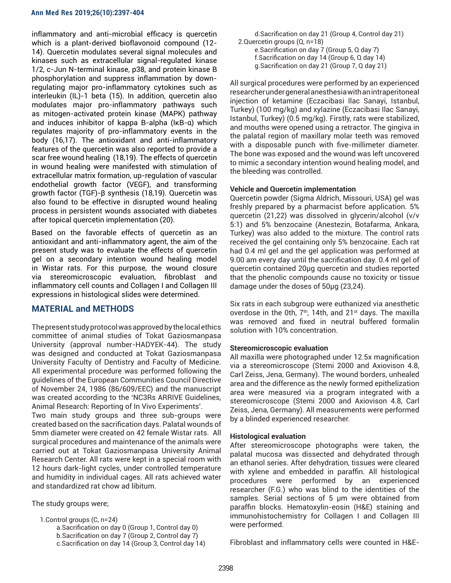inflammatory and anti-microbial efficacy is quercetin which is a plant-derived bioflavonoid compound (12- 14). Quercetin modulates several signal molecules and kinases such as extracellular signal-regulated kinase 1/2, c-Jun N-terminal kinase, p38, and protein kinase B phosphorylation and suppress inflammation by downregulating major pro-inflammatory cytokines such as interleukin (IL)-1 beta (15). In addition, quercetin also modulates major pro-inflammatory pathways such as mitogen-activated protein kinase (MAPK) pathway and induces inhibitor of kappa B-alpha (IκB-α) which regulates majority of pro-inflammatory events in the body (16,17). The antioxidant and anti-inflammatory features of the quercetin was also reported to provide a scar free wound healing (18,19). The effects of quercetin in wound healing were manifested with stimulation of extracellular matrix formation, up-regulation of vascular endothelial growth factor (VEGF), and transforming growth factor (TGF)-β synthesis (18,19). Quercetin was also found to be effective in disrupted wound healing process in persistent wounds associated with diabetes after topical quercetin implementation (20).

Based on the favorable effects of quercetin as an antioxidant and anti-inflammatory agent, the aim of the present study was to evaluate the effects of quercetin gel on a secondary intention wound healing model in Wistar rats. For this purpose, the wound closure via stereomicroscopic evaluation, fibroblast and inflammatory cell counts and Collagen I and Collagen III expressions in histological slides were determined.

# **MATERIAL and METHODS**

The present study protocol was approved by the local ethics committee of animal studies of Tokat Gaziosmanpasa University (approval number-HADYEK-44). The study was designed and conducted at Tokat Gaziosmanpasa University Faculty of Dentistry and Faculty of Medicine. All experimental procedure was performed following the guidelines of the European Communities Council Directive of November 24, 1986 (86/609/EEC) and the manuscript was created according to the 'NC3Rs ARRIVE Guidelines, Animal Research: Reporting of In Vivo Experiments'.

Two main study groups and three sub-groups were created based on the sacrification days. Palatal wounds of 5mm diameter were created on 42 female Wistar rats. All surgical procedures and maintenance of the animals were carried out at Tokat Gaziosmanpasa University Animal Research Center. All rats were kept in a special room with 12 hours dark-light cycles, under controlled temperature and humidity in individual cages. All rats achieved water and standardized rat chow ad libitum.

The study groups were;

 1.Control groups (C, n=24) a.Sacrification on day 0 (Group 1, Control day 0) b.Sacrification on day 7 (Group 2, Control day 7) c.Sacrification on day 14 (Group 3, Control day 14)

 d.Sacrification on day 21 (Group 4, Control day 21) 2.Quercetin groups (Q, n=18) e.Sacrification on day 7 (Group 5, Q day 7) f.Sacrification on day 14 (Group 6, Q day 14) g.Sacrification on day 21 (Group 7, Q day 21)

All surgical procedures were performed by an experienced researcher under general anesthesia with an intraperitoneal injection of ketamine (Eczacibasi Ilac Sanayi, Istanbul, Turkey) (100 mg/kg) and xylazine (Eczacibasi Ilac Sanayi, Istanbul, Turkey) (0.5 mg/kg). Firstly, rats were stabilized, and mouths were opened using a retractor. The gingiva in the palatal region of maxillary molar teeth was removed with a disposable punch with five-millimeter diameter. The bone was exposed and the wound was left uncovered to mimic a secondary intention wound healing model, and the bleeding was controlled.

## **Vehicle and Quercetin implementation**

Quercetin powder (Sigma Aldrich, Missouri, USA) gel was freshly prepared by a pharmacist before application. 5% quercetin (21,22) was dissolved in glycerin/alcohol (v/v 5:1) and 5% benzocaine (Anestezin, Botafarma, Ankara, Turkey) was also added to the mixture. The control rats received the gel containing only 5% benzocaine. Each rat had 0.4 ml gel and the gel application was performed at 9.00 am every day until the sacrification day. 0.4 ml gel of quercetin contained 20µg quercetin and studies reported that the phenolic compounds cause no toxicity or tissue damage under the doses of 50µg (23,24).

Six rats in each subgroup were euthanized via anesthetic overdose in the 0th,  $7<sup>th</sup>$ , 14th, and 21 $st$  days. The maxilla was removed and fixed in neutral buffered formalin solution with 10% concentration.

# **Stereomicroscopic evaluation**

All maxilla were photographed under 12.5x magnification via a stereomicroscope (Stemi 2000 and Axiovison 4.8, Carl Zeiss, Jena, Germany). The wound borders, unhealed area and the difference as the newly formed epithelization area were measured via a program integrated with a stereomicroscope (Stemi 2000 and Axiovison 4.8, Carl Zeiss, Jena, Germany). All measurements were performed by a blinded experienced researcher.

# **Histological evaluation**

After stereomicroscope photographs were taken, the palatal mucosa was dissected and dehydrated through an ethanol series. After dehydration, tissues were cleared with xylene and embedded in paraffin. All histological procedures were performed by an experienced researcher (F.G.) who was blind to the identities of the samples. Serial sections of 5 um were obtained from paraffin blocks. Hematoxylin-eosin (H&E) staining and immunohistochemistry for Collagen I and Collagen III were performed.

Fibroblast and inflammatory cells were counted in H&E-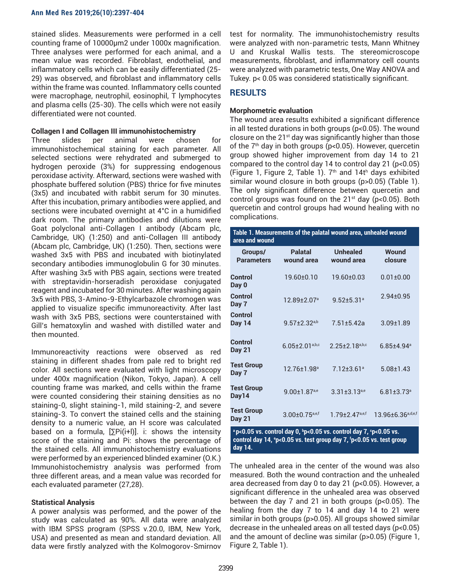stained slides. Measurements were performed in a cell counting frame of 10000µm2 under 1000x magnification. Three analyses were performed for each animal, and a mean value was recorded. Fibroblast, endothelial, and inflammatory cells which can be easily differentiated (25- 29) was observed, and fibroblast and inflammatory cells within the frame was counted. Inflammatory cells counted were macrophage, neutrophil, eosinophil, T lymphocytes and plasma cells (25-30). The cells which were not easily differentiated were not counted.

#### **Collagen I and Collagen III immunohistochemistry**

Three slides per animal were chosen for immunohistochemical staining for each parameter. All selected sections were rehydrated and submerged to hydrogen peroxide (3%) for suppressing endogenous peroxidase activity. Afterward, sections were washed with phosphate buffered solution (PBS) thrice for five minutes (3x5) and incubated with rabbit serum for 30 minutes. After this incubation, primary antibodies were applied, and sections were incubated overnight at 4°C in a humidified dark room. The primary antibodies and dilutions were Goat polyclonal anti-Collagen I antibody (Abcam plc, Cambridge, UK) (1:250) and anti-Collagen III antibody (Abcam plc, Cambridge, UK) (1:250). Then, sections were washed 3x5 with PBS and incubated with biotinylated secondary antibodies immunoglobulin G for 30 minutes. After washing 3x5 with PBS again, sections were treated with streptavidin-horseradish peroxidase conjugated reagent and incubated for 30 minutes. After washing again 3x5 with PBS, 3-Amino-9-Ethylcarbazole chromogen was applied to visualize specific immunoreactivity. After last wash with 3x5 PBS, sections were counterstained with Gill's hematoxylin and washed with distilled water and then mounted.

Immunoreactivity reactions were observed as red staining in different shades from pale red to bright red color. All sections were evaluated with light microscopy under 400x magnification (Nikon, Tokyo, Japan). A cell counting frame was marked, and cells within the frame were counted considering their staining densities as no staining-0, slight staining-1, mild staining-2, and severe staining-3. To convert the stained cells and the staining density to a numeric value, an H score was calculated based on a formula,  $[\Sigma P i(i+1)]$ . i: shows the intensity score of the staining and Pi: shows the percentage of the stained cells. All immunohistochemistry evaluations were performed by an experienced blinded examiner (O.K.) Immunohistochemistry analysis was performed from three different areas, and a mean value was recorded for each evaluated parameter (27,28).

#### **Statistical Analysis**

A power analysis was performed, and the power of the study was calculated as 90%. All data were analyzed with IBM SPSS program (SPSS v.20.0, IBM, New York, USA) and presented as mean and standard deviation. All data were firstly analyzed with the Kolmogorov-Smirnov

test for normality. The immunohistochemistry results were analyzed with non-parametric tests, Mann Whitney U and Kruskal Wallis tests. The stereomicroscope measurements, fibroblast, and inflammatory cell counts were analyzed with parametric tests, One Way ANOVA and Tukey. p< 0.05 was considered statistically significant.

# **RESULTS**

## **Morphometric evaluation**

The wound area results exhibited a significant difference in all tested durations in both groups (p<0.05). The wound closure on the 21<sup>st</sup> day was significantly higher than those of the  $7<sup>th</sup>$  day in both groups (p<0.05). However, quercetin group showed higher improvement from day 14 to 21 compared to the control day 14 to control day 21 (p<0.05) (Figure 1, Figure 2, Table 1).  $7<sup>th</sup>$  and 14t<sup>h</sup> days exhibited similar wound closure in both groups (p>0.05) (Table 1). The only significant difference between quercetin and control groups was found on the  $21^{st}$  day (p<0.05). Both quercetin and control groups had wound healing with no complications.

| Table 1. Measurements of the palatal wound area, unhealed wound<br>area and wound                                                                                            |                                  |                                |                               |  |  |  |
|------------------------------------------------------------------------------------------------------------------------------------------------------------------------------|----------------------------------|--------------------------------|-------------------------------|--|--|--|
| Groups/<br><b>Parameters</b>                                                                                                                                                 | <b>Palatal</b><br>wound area     | <b>Unhealed</b><br>wound area  | Wound<br>closure              |  |  |  |
| Control<br>Day 0                                                                                                                                                             | $19.60 + 0.10$                   | 19.60±0.03                     | $0.01 \pm 0.00$               |  |  |  |
| Control<br>Day 7                                                                                                                                                             | 12.89±2.07 <sup>a</sup>          | $9.52 \pm 5.31$ <sup>a</sup>   | $2.94 + 0.95$                 |  |  |  |
| Control<br><b>Day 14</b>                                                                                                                                                     | $9.57 \pm 2.32^{a,b}$            | $7.51 + 5.42a$                 | $3.09 + 1.89$                 |  |  |  |
| Control<br><b>Day 21</b>                                                                                                                                                     | $6.05 \pm 2.01$ a,b,c            | $2.25 \pm 2.18^{a,b,c}$        | $6.85{\pm}4.94^{\circ}$       |  |  |  |
| <b>Test Group</b><br>Day 7                                                                                                                                                   | $12.76 + 1.98$ <sup>a</sup>      | $7.12 + 3.61$ <sup>a</sup>     | $5.08 + 1.43$                 |  |  |  |
| <b>Test Group</b><br>Dav14                                                                                                                                                   | $9.00 \pm 1.87$ <sub>a,e</sub>   | $3.31 \pm 3.13$ <sup>a,e</sup> | $6.81 \pm 3.73$ <sup>a</sup>  |  |  |  |
| <b>Test Group</b><br><b>Day 21</b>                                                                                                                                           | $3.00 \pm 0.75$ <sub>a,e,f</sub> | $1.79 + 2.47$ <sup>a,e,f</sup> | 13.96±6.36 <sup>a,d,e,f</sup> |  |  |  |
| <sup>a</sup> p<0.05 vs. control day 0, <sup>b</sup> p<0.05 vs. control day 7, °p<0.05 vs.<br>control day 14, ep<0.05 vs. test group day 7, fp<0.05 vs. test group<br>day 14. |                                  |                                |                               |  |  |  |

The unhealed area in the center of the wound was also measured. Both the wound contraction and the unhealed area decreased from day 0 to day 21 (p<0.05). However, a significant difference in the unhealed area was observed between the day 7 and 21 in both groups (p<0.05). The healing from the day 7 to 14 and day 14 to 21 were similar in both groups (p>0.05). All groups showed similar decrease in the unhealed areas on all tested days (p<0.05) and the amount of decline was similar (p>0.05) (Figure 1, Figure 2, Table 1).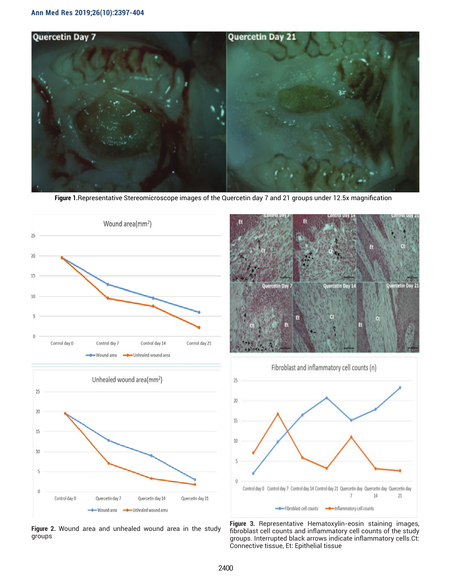

 **Figure 1.**Representative Stereomicroscope images of the Quercetin day 7 and 21 groups under 12.5x magnification



**Figure 2.** Wound area and unhealed wound area in the study groups





**Figure 3.** Representative Hematoxylin-eosin staining images, fibroblast cell counts and inflammatory cell counts of the study groups. Interrupted black arrows indicate inflammatory cells.Ct: Connective tissue, Et: Epithelial tissue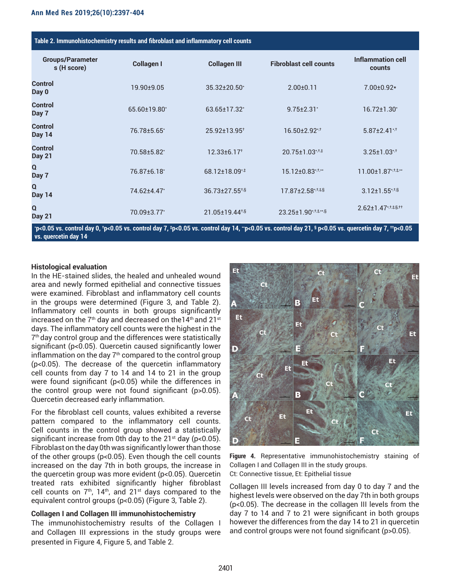| Table 2. Immunohistochemistry results and fibroblast and inflammatory cell counts |                   |                               |                                             |                                   |  |  |
|-----------------------------------------------------------------------------------|-------------------|-------------------------------|---------------------------------------------|-----------------------------------|--|--|
| <b>Groups/Parameter</b><br>s (H score)                                            | <b>Collagen I</b> | <b>Collagen III</b>           | <b>Fibroblast cell counts</b>               | Inflammation cell<br>counts       |  |  |
| <b>Control</b><br>Day 0                                                           | $19.90 + 9.05$    | 35.32±20.50*                  | $2.00 \pm 0.11$                             | $7.00 \pm 0.92*$                  |  |  |
| <b>Control</b><br>Day 7                                                           | 65.60±19.80*      | 63.65±17.32*                  | $9.75 \pm 2.31$                             | $16.72{\pm}1.30^*$                |  |  |
| <b>Control</b><br><b>Day 14</b>                                                   | 76.78±5.65*       | 25.92±13.95 <sup>+</sup>      | $16.50 \pm 2.92$ *,†                        | $5.87 \pm 2.41$ <sup>*,†</sup>    |  |  |
| <b>Control</b><br><b>Day 21</b>                                                   | 70.58±5.82*       | $12.33 \pm 6.17$ <sup>+</sup> | 20.75±1.03* <sup>+</sup>                    | $3.25 \pm 1.03$ <sup>*,†</sup>    |  |  |
| $\Omega$<br>Day 7                                                                 | 76.87±6.18*       | 68.12±18.09* <sup>‡</sup>     | 15.12±0.83*,t,**                            | 11.00±1.87*, <sup>†,‡,**</sup>    |  |  |
| Q<br><b>Day 14</b>                                                                | 74.62±4.47*       | 36.73±27.55 <sup>+,§</sup>    | 17.87±2.58*, <sup>†,‡,§</sup>               | $3.12 \pm 1.55$ *, <sup>†,§</sup> |  |  |
| Q<br><b>Day 21</b>                                                                | 70.09±3.77*       | 21.05±19.44 <sup>+§</sup>     | $23.25 \pm 1.90$ *, $\pm \pm \frac{1}{2}$ . | $2.62 \pm 1.47$ *, †, ‡,§, ††     |  |  |

**\* p<0.05 vs. control day 0, † p<0.05 vs. control day 7, ‡ p<0.05 vs. control day 14, \*\*p<0.05 vs. control day 21, § p<0.05 vs. quercetin day 7, ††p<0.05 vs. quercetin day 14.**

## **Histological evaluation**

In the HE-stained slides, the healed and unhealed wound area and newly formed epithelial and connective tissues were examined. Fibroblast and inflammatory cell counts in the groups were determined (Figure 3, and Table 2). Inflammatory cell counts in both groups significantly increased on the 7<sup>th</sup> day and decreased on the 14<sup>th</sup> and 21<sup>st</sup> days. The inflammatory cell counts were the highest in the 7<sup>th</sup> day control group and the differences were statistically significant (p<0.05). Quercetin caused significantly lower inflammation on the day  $7<sup>th</sup>$  compared to the control group (p<0.05). The decrease of the quercetin inflammatory cell counts from day 7 to 14 and 14 to 21 in the group were found significant (p<0.05) while the differences in the control group were not found significant (p>0.05). Quercetin decreased early inflammation.

For the fibroblast cell counts, values exhibited a reverse pattern compared to the inflammatory cell counts. Cell counts in the control group showed a statistically significant increase from 0th day to the  $21^{st}$  day (p<0.05). Fibroblast on the day 0th was significantly lower than those of the other groups (p<0.05). Even though the cell counts increased on the day 7th in both groups, the increase in the quercetin group was more evident (p<0.05). Quercetin treated rats exhibited significantly higher fibroblast cell counts on  $7<sup>th</sup>$ , 14<sup>th</sup>, and 21<sup>st</sup> days compared to the equivalent control groups (p<0.05) (Figure 3, Table 2).

# **Collagen I and Collagen III immunohistochemistry**

The immunohistochemistry results of the Collagen I and Collagen III expressions in the study groups were presented in Figure 4, Figure 5, and Table 2.



**Figure 4.** Representative immunohistochemistry staining of Collagen I and Collagen III in the study groups. Ct: Connective tissue, Et: Epithelial tissue

Collagen III levels increased from day 0 to day 7 and the highest levels were observed on the day 7th in both groups (p<0.05). The decrease in the collagen III levels from the day 7 to 14 and 7 to 21 were significant in both groups however the differences from the day 14 to 21 in quercetin and control groups were not found significant (p>0.05).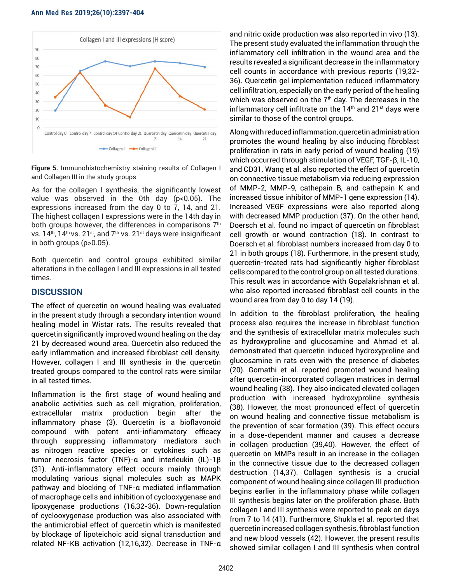#### **Ann Med Res 2019;26(10):2397-404**



**Figure 5.** Immunohistochemistry staining results of Collagen I and Collagen III in the study groups

As for the collagen I synthesis, the significantly lowest value was observed in the 0th day (p<0.05). The expressions increased from the day 0 to 7, 14, and 21. The highest collagen I expressions were in the 14th day in both groups however, the differences in comparisons  $7<sup>th</sup>$ vs.  $14<sup>th</sup>$ ,  $14<sup>th</sup>$  vs.  $21<sup>st</sup>$ , and  $7<sup>th</sup>$  vs.  $21<sup>st</sup>$  days were insignificant in both groups (p>0.05).

Both quercetin and control groups exhibited similar alterations in the collagen I and III expressions in all tested times.

## **DISCUSSION**

The effect of quercetin on wound healing was evaluated in the present study through a secondary intention wound healing model in Wistar rats. The results revealed that quercetin significantly improved wound healing on the day 21 by decreased wound area. Quercetin also reduced the early inflammation and increased fibroblast cell density. However, collagen I and III synthesis in the quercetin treated groups compared to the control rats were similar in all tested times.

Inflammation is the first stage of wound healing and anabolic activities such as cell migration, proliferation, extracellular matrix production begin after the inflammatory phase (3). Quercetin is a bioflavonoid compound with potent anti-inflammatory efficacy through suppressing inflammatory mediators such as nitrogen reactive species or cytokines such as tumor necrosis factor (TNF)-α and interleukin (IL)-1β (31). Anti-inflammatory effect occurs mainly through modulating various signal molecules such as MAPK pathway and blocking of TNF-α mediated inflammation of macrophage cells and inhibition of cyclooxygenase and lipoxygenase productions (16,32-36). Down-regulation of cyclooxygenase production was also associated with the antimicrobial effect of quercetin which is manifested by blockage of lipoteichoic acid signal transduction and related NF-KB activation (12,16,32). Decrease in TNF-α

and nitric oxide production was also reported in vivo (13). The present study evaluated the inflammation through the inflammatory cell infiltration in the wound area and the results revealed a significant decrease in the inflammatory cell counts in accordance with previous reports (19,32- 36). Quercetin gel implementation reduced inflammatory cell infiltration, especially on the early period of the healing which was observed on the  $7<sup>th</sup>$  day. The decreases in the inflammatory cell infiltrate on the  $14<sup>th</sup>$  and  $21<sup>st</sup>$  days were similar to those of the control groups.

Along with reduced inflammation, quercetin administration promotes the wound healing by also inducing fibroblast proliferation in rats in early period of wound healing (19) which occurred through stimulation of VEGF, TGF-β, IL-10, and CD31. Wang et al. also reported the effect of quercetin on connective tissue metabolism via reducing expression of MMP-2, MMP-9, cathepsin B, and cathepsin K and increased tissue inhibitor of MMP-1 gene expression (14). Increased VEGF expressions were also reported along with decreased MMP production (37). On the other hand, Doersch et al. found no impact of quercetin on fibroblast cell growth or wound contraction (18). In contrast to Doersch et al. fibroblast numbers increased from day 0 to 21 in both groups (18). Furthermore, in the present study, quercetin-treated rats had significantly higher fibroblast cells compared to the control group on all tested durations. This result was in accordance with Gopalakrishnan et al. who also reported increased fibroblast cell counts in the wound area from day 0 to day 14 (19).

In addition to the fibroblast proliferation, the healing process also requires the increase in fibroblast function and the synthesis of extracellular matrix molecules such as hydroxyproline and glucosamine and Ahmad et al. demonstrated that quercetin induced hydroxyproline and glucosamine in rats even with the presence of diabetes (20). Gomathi et al. reported promoted wound healing after quercetin-incorporated collagen matrices in dermal wound healing (38). They also indicated elevated collagen production with increased hydroxyproline synthesis (38). However, the most pronounced effect of quercetin on wound healing and connective tissue metabolism is the prevention of scar formation (39). This effect occurs in a dose-dependent manner and causes a decrease in collagen production (39,40). However, the effect of quercetin on MMPs result in an increase in the collagen in the connective tissue due to the decreased collagen destruction (14,37). Collagen synthesis is a crucial component of wound healing since collagen III production begins earlier in the inflammatory phase while collagen III synthesis begins later on the proliferation phase. Both collagen I and III synthesis were reported to peak on days from 7 to 14 (41). Furthermore, Shukla et al. reported that quercetin increased collagen synthesis, fibroblast function and new blood vessels (42). However, the present results showed similar collagen I and III synthesis when control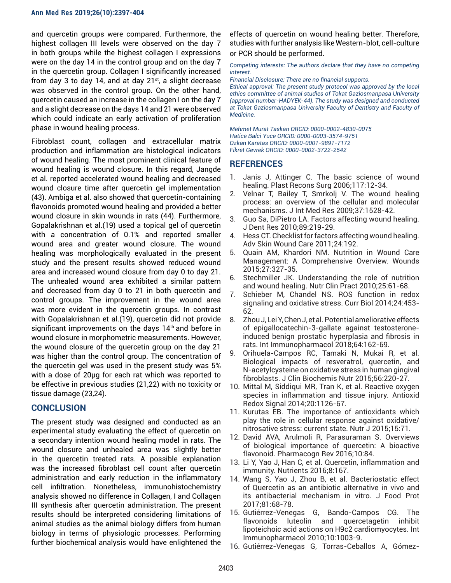and quercetin groups were compared. Furthermore, the highest collagen III levels were observed on the day 7 in both groups while the highest collagen I expressions were on the day 14 in the control group and on the day 7 in the quercetin group. Collagen I significantly increased from day 3 to day 14, and at day  $21^{st}$ , a slight decrease was observed in the control group. On the other hand, quercetin caused an increase in the collagen I on the day 7 and a slight decrease on the days 14 and 21 were observed which could indicate an early activation of proliferation phase in wound healing process.

Fibroblast count, collagen and extracellular matrix production and inflammation are histological indicators of wound healing. The most prominent clinical feature of wound healing is wound closure. In this regard, Jangde et al. reported accelerated wound healing and decreased wound closure time after quercetin gel implementation (43). Ambiga et al. also showed that quercetin-containing flavonoids promoted wound healing and provided a better wound closure in skin wounds in rats (44). Furthermore, Gopalakrishnan et al.(19) used a topical gel of quercetin with a concentration of 0.1% and reported smaller wound area and greater wound closure. The wound healing was morphologically evaluated in the present study and the present results showed reduced wound area and increased wound closure from day 0 to day 21. The unhealed wound area exhibited a similar pattern and decreased from day 0 to 21 in both quercetin and control groups. The improvement in the wound area was more evident in the quercetin groups. In contrast with Gopalakrishnan et al.(19), quercetin did not provide significant improvements on the days  $14<sup>th</sup>$  and before in wound closure in morphometric measurements. However, the wound closure of the quercetin group on the day 21 was higher than the control group. The concentration of the quercetin gel was used in the present study was 5% with a dose of 20µg for each rat which was reported to be effective in previous studies (21,22) with no toxicity or tissue damage (23,24).

# **CONCLUSION**

The present study was designed and conducted as an experimental study evaluating the effect of quercetin on a secondary intention wound healing model in rats. The wound closure and unhealed area was slightly better in the quercetin treated rats. A possible explanation was the increased fibroblast cell count after quercetin administration and early reduction in the inflammatory cell infiltration. Nonetheless, immunohistochemistry analysis showed no difference in Collagen, I and Collagen III synthesis after quercetin administration. The present results should be interpreted considering limitations of animal studies as the animal biology differs from human biology in terms of physiologic processes. Performing further biochemical analysis would have enlightened the

effects of quercetin on wound healing better. Therefore, studies with further analysis like Western-blot, cell-culture or PCR should be performed.

*Competing interests: The authors declare that they have no competing interest.* 

*Financial Disclosure: There are no financial supports.*

*Ethical approval: The present study protocol was approved by the local ethics committee of animal studies of Tokat Gaziosmanpasa University (approval number-HADYEK-44). The study was designed and conducted at Tokat Gaziosmanpasa University Faculty of Dentistry and Faculty of Medicine.* 

*Mehmet Murat Taskan ORCID: 0000-0002-4830-0075 Hatice Balci Yuce ORCID: 0000-0003-3574-9751 Ozkan Karatas ORCID: 0000-0001-9891-7172 Fikret Gevrek ORCID: 0000-0002-3722-2542*

# **REFERENCES**

- 1. Janis J, Attinger C. The basic science of wound healing. Plast Recons Surg 2006;117:12-34.
- 2. Velnar T, Bailey T, Smrkolj V. The wound healing process: an overview of the cellular and molecular mechanisms. J Int Med Res 2009;37:1528-42.
- 3. Guo Sa, DiPietro LA. Factors affecting wound healing. J Dent Res 2010;89:219-29.
- 4. Hess CT. Checklist for factors affecting wound healing. Adv Skin Wound Care 2011;24:192.
- 5. Quain AM, Khardori NM. Nutrition in Wound Care Management: A Comprehensive Overview. Wounds 2015;27:327-35.
- 6. Stechmiller JK. Understanding the role of nutrition and wound healing. Nutr Clin Pract 2010;25:61-68.
- 7. Schieber M, Chandel NS. ROS function in redox signaling and oxidative stress. Curr Biol 2014;24:453- 62.
- 8. Zhou J, Lei Y, Chen J, et al. Potential ameliorative effects of epigallocatechin‑3‑gallate against testosteroneinduced benign prostatic hyperplasia and fibrosis in rats. Int Immunopharmacol 2018;64:162-69.
- 9. Orihuela-Campos RC, Tamaki N, Mukai R, et al. Biological impacts of resveratrol, quercetin, and N-acetylcysteine on oxidative stress in human gingival fibroblasts. J Clin Biochemis Nutr 2015;56:220-27.
- 10. Mittal M, Siddiqui MR, Tran K, et al. Reactive oxygen species in inflammation and tissue injury. Antioxid Redox Signal 2014;20:1126-67.
- 11. Kurutas EB. The importance of antioxidants which play the role in cellular response against oxidative/ nitrosative stress: current state. Nutr J 2015;15:71.
- 12. David AVA, Arulmoli R, Parasuraman S. Overviews of biological importance of quercetin: A bioactive flavonoid. Pharmacogn Rev 2016;10:84.
- 13. Li Y, Yao J, Han C, et al. Quercetin, inflammation and immunity. Nutrients 2016;8:167.
- 14. Wang S, Yao J, Zhou B, et al. Bacteriostatic effect of Quercetin as an antibiotic alternative in vivo and its antibacterial mechanism in vitro. J Food Prot 2017;81:68-78.
- 15. Gutiérrez-Venegas G, Bando-Campos CG. The flavonoids luteolin and quercetagetin inhibit lipoteichoic acid actions on H9c2 cardiomyocytes. Int Immunopharmacol 2010;10:1003-9.
- 16. Gutiérrez-Venegas G, Torras-Ceballos A, Gómez-